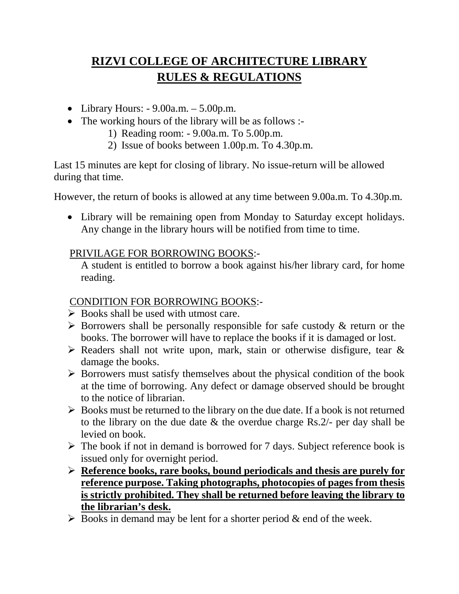# **RIZVI COLLEGE OF ARCHITECTURE LIBRARY RULES & REGULATIONS**

- Library Hours:  $-9.00$ a.m.  $-5.00$ p.m.
- The working hours of the library will be as follows :-
	- 1) Reading room: 9.00a.m. To 5.00p.m.
	- 2) Issue of books between 1.00p.m. To 4.30p.m.

Last 15 minutes are kept for closing of library. No issue-return will be allowed during that time.

However, the return of books is allowed at any time between 9.00a.m. To 4.30p.m.

• Library will be remaining open from Monday to Saturday except holidays. Any change in the library hours will be notified from time to time.

## PRIVILAGE FOR BORROWING BOOKS:-

A student is entitled to borrow a book against his/her library card, for home reading.

#### CONDITION FOR BORROWING BOOKS:-

- $\triangleright$  Books shall be used with utmost care.
- $\triangleright$  Borrowers shall be personally responsible for safe custody & return or the books. The borrower will have to replace the books if it is damaged or lost.
- $\triangleright$  Readers shall not write upon, mark, stain or otherwise disfigure, tear & damage the books.
- $\triangleright$  Borrowers must satisfy themselves about the physical condition of the book at the time of borrowing. Any defect or damage observed should be brought to the notice of librarian.
- $\triangleright$  Books must be returned to the library on the due date. If a book is not returned to the library on the due date & the overdue charge Rs.2/- per day shall be levied on book.
- $\triangleright$  The book if not in demand is borrowed for 7 days. Subject reference book is issued only for overnight period.
- **Reference books, rare books, bound periodicals and thesis are purely for reference purpose. Taking photographs, photocopies of pages from thesis is strictly prohibited. They shall be returned before leaving the library to the librarian's desk.**
- $\triangleright$  Books in demand may be lent for a shorter period & end of the week.